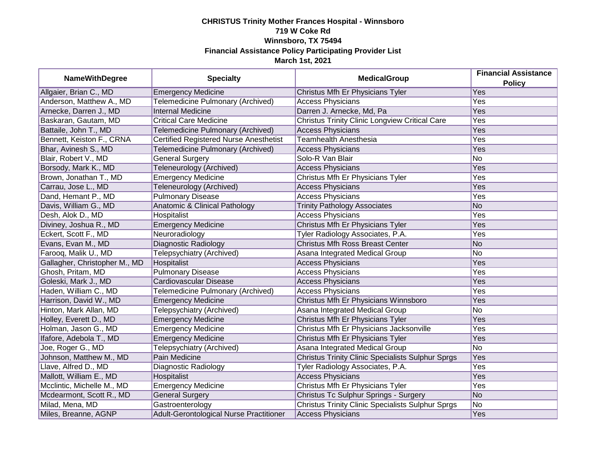## **CHRISTUS Trinity Mother Frances Hospital - Winnsboro 719 W Coke Rd Winnsboro, TX 75494 Financial Assistance Policy Participating Provider List March 1st, 2021**

| <b>NameWithDegree</b>         | <b>Specialty</b>                        | <b>MedicalGroup</b>                                      | <b>Financial Assistance</b><br><b>Policy</b> |
|-------------------------------|-----------------------------------------|----------------------------------------------------------|----------------------------------------------|
| Allgaier, Brian C., MD        | <b>Emergency Medicine</b>               | Christus Mfh Er Physicians Tyler                         | <b>Yes</b>                                   |
| Anderson, Matthew A., MD      | Telemedicine Pulmonary (Archived)       | <b>Access Physicians</b>                                 | Yes                                          |
| Arnecke, Darren J., MD        | <b>Internal Medicine</b>                | Darren J. Arnecke, Md, Pa                                | Yes                                          |
| Baskaran, Gautam, MD          | <b>Critical Care Medicine</b>           | <b>Christus Trinity Clinic Longview Critical Care</b>    | Yes                                          |
| Battaile, John T., MD         | Telemedicine Pulmonary (Archived)       | <b>Access Physicians</b>                                 | Yes                                          |
| Bennett, Keiston F., CRNA     | Certified Registered Nurse Anesthetist  | <b>Teamhealth Anesthesia</b>                             | Yes                                          |
| Bhar, Avinesh S., MD          | Telemedicine Pulmonary (Archived)       | <b>Access Physicians</b>                                 | Yes                                          |
| Blair, Robert V., MD          | <b>General Surgery</b>                  | Solo-R Van Blair                                         | No                                           |
| Borsody, Mark K., MD          | Teleneurology (Archived)                | <b>Access Physicians</b>                                 | Yes                                          |
| Brown, Jonathan T., MD        | <b>Emergency Medicine</b>               | Christus Mfh Er Physicians Tyler                         | Yes                                          |
| Carrau, Jose L., MD           | Teleneurology (Archived)                | <b>Access Physicians</b>                                 | Yes                                          |
| Dand, Hemant P., MD           | <b>Pulmonary Disease</b>                | <b>Access Physicians</b>                                 | Yes                                          |
| Davis, William G., MD         | Anatomic & Clinical Pathology           | <b>Trinity Pathology Associates</b>                      | <b>No</b>                                    |
| Desh, Alok D., MD             | Hospitalist                             | <b>Access Physicians</b>                                 | Yes                                          |
| Diviney, Joshua R., MD        | <b>Emergency Medicine</b>               | Christus Mfh Er Physicians Tyler                         | Yes                                          |
| Eckert, Scott F., MD          | Neuroradiology                          | Tyler Radiology Associates, P.A.                         | Yes                                          |
| Evans, Evan M., MD            | Diagnostic Radiology                    | <b>Christus Mfh Ross Breast Center</b>                   | <b>No</b>                                    |
| Farooq, Malik U., MD          | Telepsychiatry (Archived)               | Asana Integrated Medical Group                           | No                                           |
| Gallagher, Christopher M., MD | Hospitalist                             | <b>Access Physicians</b>                                 | Yes                                          |
| Ghosh, Pritam, MD             | <b>Pulmonary Disease</b>                | <b>Access Physicians</b>                                 | Yes                                          |
| Goleski, Mark J., MD          | Cardiovascular Disease                  | <b>Access Physicians</b>                                 | Yes                                          |
| Haden, William C., MD         | Telemedicine Pulmonary (Archived)       | <b>Access Physicians</b>                                 | Yes                                          |
| Harrison, David W., MD        | <b>Emergency Medicine</b>               | Christus Mfh Er Physicians Winnsboro                     | Yes                                          |
| Hinton, Mark Allan, MD        | Telepsychiatry (Archived)               | Asana Integrated Medical Group                           | No                                           |
| Holley, Everett D., MD        | <b>Emergency Medicine</b>               | Christus Mfh Er Physicians Tyler                         | Yes                                          |
| Holman, Jason G., MD          | <b>Emergency Medicine</b>               | Christus Mfh Er Physicians Jacksonville                  | Yes                                          |
| Ifafore, Adebola T., MD       | <b>Emergency Medicine</b>               | Christus Mfh Er Physicians Tyler                         | Yes                                          |
| Joe, Roger G., MD             | Telepsychiatry (Archived)               | Asana Integrated Medical Group                           | No                                           |
| Johnson, Matthew M., MD       | Pain Medicine                           | <b>Christus Trinity Clinic Specialists Sulphur Sprgs</b> | Yes                                          |
| Llave, Alfred D., MD          | Diagnostic Radiology                    | Tyler Radiology Associates, P.A.                         | Yes                                          |
| Mallott, William E., MD       | Hospitalist                             | <b>Access Physicians</b>                                 | Yes                                          |
| Mcclintic, Michelle M., MD    | <b>Emergency Medicine</b>               | Christus Mfh Er Physicians Tyler                         | Yes                                          |
| Mcdearmont, Scott R., MD      | <b>General Surgery</b>                  | Christus Tc Sulphur Springs - Surgery                    | <b>No</b>                                    |
| Milad, Mena, MD               | Gastroenterology                        | <b>Christus Trinity Clinic Specialists Sulphur Sprgs</b> | No                                           |
| Miles, Breanne, AGNP          | Adult-Gerontological Nurse Practitioner | <b>Access Physicians</b>                                 | Yes                                          |